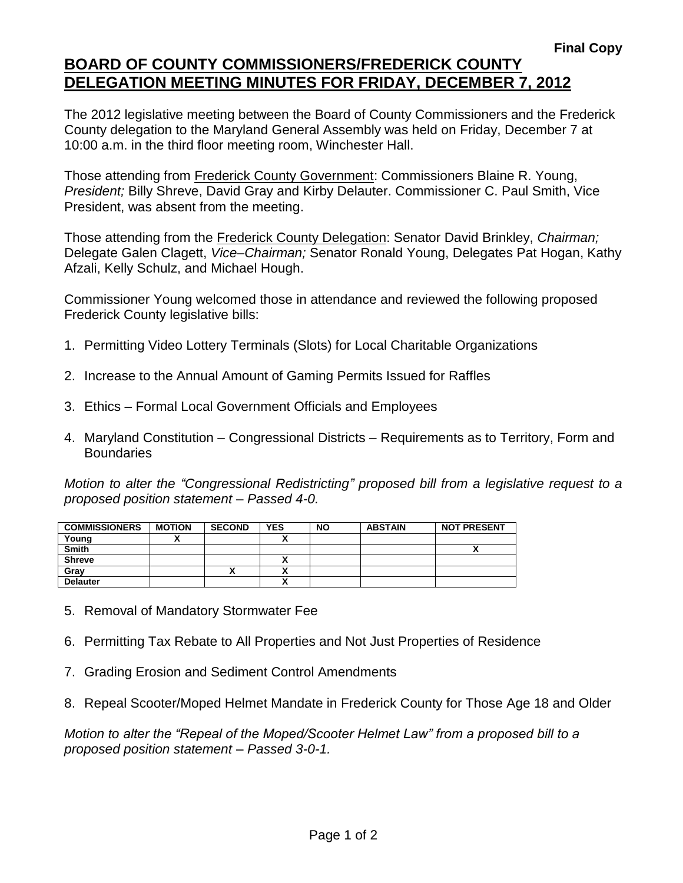## **BOARD OF COUNTY COMMISSIONERS/FREDERICK COUNTY DELEGATION MEETING MINUTES FOR FRIDAY, DECEMBER 7, 2012**

The 2012 legislative meeting between the Board of County Commissioners and the Frederick County delegation to the Maryland General Assembly was held on Friday, December 7 at 10:00 a.m. in the third floor meeting room, Winchester Hall.

Those attending from Frederick County Government: Commissioners Blaine R. Young, *President;* Billy Shreve, David Gray and Kirby Delauter. Commissioner C. Paul Smith, Vice President, was absent from the meeting.

Those attending from the Frederick County Delegation: Senator David Brinkley, *Chairman;* Delegate Galen Clagett, *Vice–Chairman;* Senator Ronald Young, Delegates Pat Hogan, Kathy Afzali, Kelly Schulz, and Michael Hough.

Commissioner Young welcomed those in attendance and reviewed the following proposed Frederick County legislative bills:

- 1. Permitting Video Lottery Terminals (Slots) for Local Charitable Organizations
- 2. Increase to the Annual Amount of Gaming Permits Issued for Raffles
- 3. Ethics Formal Local Government Officials and Employees
- 4. Maryland Constitution Congressional Districts Requirements as to Territory, Form and **Boundaries**

*Motion to alter the "Congressional Redistricting" proposed bill from a legislative request to a proposed position statement – Passed 4-0.*

| <b>COMMISSIONERS</b> | <b>MOTION</b> | <b>SECOND</b> | <b>YES</b> | <b>NO</b> | <b>ABSTAIN</b> | <b>NOT PRESENT</b> |
|----------------------|---------------|---------------|------------|-----------|----------------|--------------------|
| Young                |               |               |            |           |                |                    |
| <b>Smith</b>         |               |               |            |           |                | $\mathbf{v}$       |
| <b>Shreve</b>        |               |               | ^          |           |                |                    |
| Gray                 |               |               |            |           |                |                    |
| <b>Delauter</b>      |               |               |            |           |                |                    |

- 5. Removal of Mandatory Stormwater Fee
- 6. Permitting Tax Rebate to All Properties and Not Just Properties of Residence
- 7. Grading Erosion and Sediment Control Amendments
- 8. Repeal Scooter/Moped Helmet Mandate in Frederick County for Those Age 18 and Older

*Motion to alter the "Repeal of the Moped/Scooter Helmet Law" from a proposed bill to a proposed position statement – Passed 3-0-1.*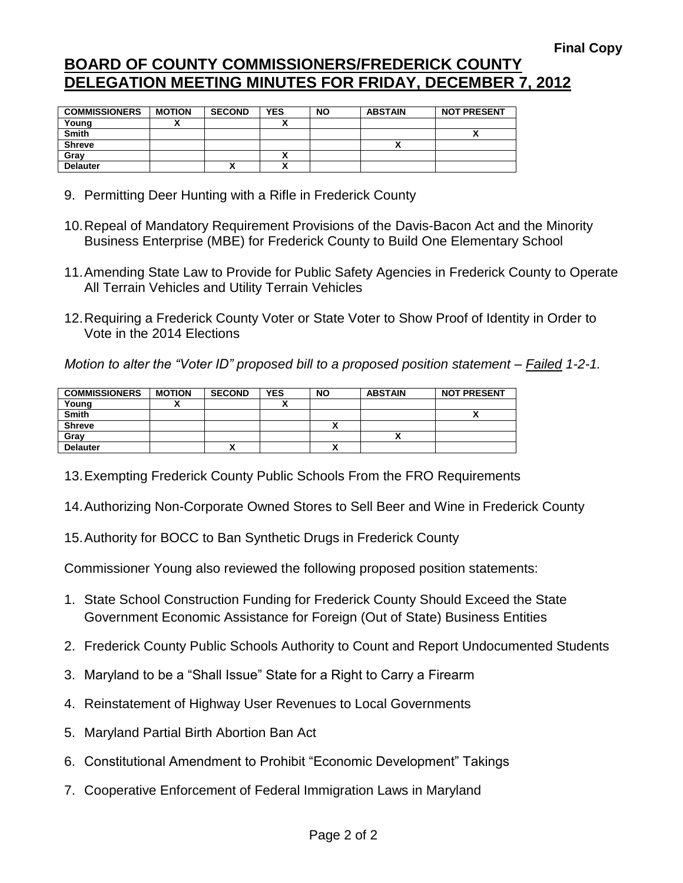## **BOARD OF COUNTY COMMISSIONERS/FREDERICK COUNTY DELEGATION MEETING MINUTES FOR FRIDAY, DECEMBER 7, 2012**

| <b>COMMISSIONERS</b> | <b>MOTION</b> | <b>SECOND</b> | <b>YES</b> | <b>NO</b> | <b>ABSTAIN</b> | <b>NOT PRESENT</b> |
|----------------------|---------------|---------------|------------|-----------|----------------|--------------------|
| Young                |               |               |            |           |                |                    |
| Smith                |               |               |            |           |                |                    |
| <b>Shreve</b>        |               |               |            |           |                |                    |
| Grav                 |               |               |            |           |                |                    |
| <b>Delauter</b>      |               | "             |            |           |                |                    |

- 9. Permitting Deer Hunting with a Rifle in Frederick County
- 10.Repeal of Mandatory Requirement Provisions of the Davis-Bacon Act and the Minority Business Enterprise (MBE) for Frederick County to Build One Elementary School
- 11.Amending State Law to Provide for Public Safety Agencies in Frederick County to Operate All Terrain Vehicles and Utility Terrain Vehicles
- 12.Requiring a Frederick County Voter or State Voter to Show Proof of Identity in Order to Vote in the 2014 Elections

*Motion to alter the "Voter ID" proposed bill to a proposed position statement – Failed 1-2-1.*

| <b>COMMISSIONERS</b> | <b>MOTION</b> | <b>SECOND</b> | <b>YES</b> | <b>NO</b> | <b>ABSTAIN</b> | <b>NOT PRESENT</b>         |
|----------------------|---------------|---------------|------------|-----------|----------------|----------------------------|
| Young                |               |               |            |           |                |                            |
| <b>Smith</b>         |               |               |            |           |                | $\boldsymbol{\mathcal{L}}$ |
| <b>Shreve</b>        |               |               |            |           |                |                            |
| Gray                 |               |               |            |           |                |                            |
| <b>Delauter</b>      |               | Λ             |            |           |                |                            |

13.Exempting Frederick County Public Schools From the FRO Requirements

- 14.Authorizing Non-Corporate Owned Stores to Sell Beer and Wine in Frederick County
- 15.Authority for BOCC to Ban Synthetic Drugs in Frederick County

Commissioner Young also reviewed the following proposed position statements:

- 1. State School Construction Funding for Frederick County Should Exceed the State Government Economic Assistance for Foreign (Out of State) Business Entities
- 2. Frederick County Public Schools Authority to Count and Report Undocumented Students
- 3. Maryland to be a "Shall Issue" State for a Right to Carry a Firearm
- 4. Reinstatement of Highway User Revenues to Local Governments
- 5. Maryland Partial Birth Abortion Ban Act
- 6. Constitutional Amendment to Prohibit "Economic Development" Takings
- 7. Cooperative Enforcement of Federal Immigration Laws in Maryland